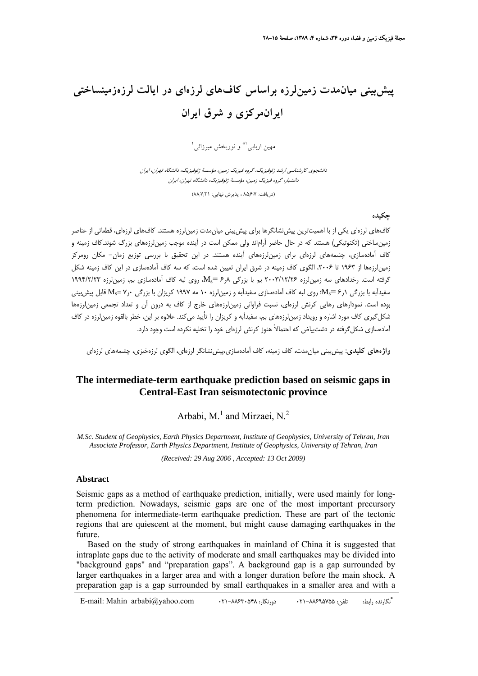# **پيشبيني ميانمدت زمينلرزه براساس كافهاي لرزهاي در ايالت لرزهزمينساختي ايرانمركزي و شرق ايران**

مهين اربابي<sup> \\*</sup> و نوربخش ميرزائي<sup>٢</sup>

دانشجوي كارشناسي ارشد ژئوفيزيك، گروه فيزيك زمين، مؤسسة ژئوفيزيك، دانشگاه تهران، ايران دانشيار، گروه فيزيك زمين، مؤسسة ژئوفيزيك، دانشگاه تهران، ايران

(دريافت: ۸۵٬۶٫۷ ، پذيرش نهايي: ۸۸٬۷٬۲۱)

#### **چكيده**

كافهاي لرزهاي يكي از با اهميتترين پيشنشانگرها براي پيشبيني ميانمدت زمينلرزه هستند. كافهاي لرزهاي، قطعاتي از عناصر زمينساختي (تكنوتيكي) هستند كه در حال حاضر آراماند ولي ممكن است در آينده موجب زمينلرزههاي بزرگ شوند.كاف زمينه و كاف آمادهسازي، چشمههاي لرزهاي براي زمينلرزههاي آينده هستند. در اين تحقيق با بررسي توزيع زمان- مكان رومركز زمين لرزهها از ۱۹۶۳ تا ۲۰۰۶، الگوي كاف زمينه در شرق ايران تعيين شده است، كه سه كاف آمادهسازي در اين كاف زمينه شكل گرفته است. رخدادهاي سه زمين لرزه 20/15/17 بم با بزرگي  $8\pi_s = M_s = M_s$ ، روي لبه كاف آمادهسازي بم، زمين لرزه ۱۹۹۴/۲/۲۳ سفيدآبه با بزرگي 1ر۶ =Ms؛ روي لبه كاف آمادهسازي سفيدآبه و زمينلرزه ۱۰ مه ۱۹۹۷ كريزان با بزرگي ۷٫۰ قابل پيش بيني بوده است. نمودارهاي رهايي كرنش لرزهاي، نسبت فراواني زمينلرزههاي خارج از كاف به درون آن و تعداد تجمعي زمينلرزهها شكلگيري كاف مورد اشاره و رويداد زمينلرزههاي بم، سفيدآبه و كريزان را تاٌييد ميكند. علاوه بر اين، خطر بالقوه زمينلرزه در كاف آمادهسازي شكلگرفته در دشتبياض كه احتمالاً هنوز كرنش لرزهاي خود را تخليه نكرده است وجود دارد.

**واژههاي كليدي:** پيشبيني ميانمدت، كاف زمينه، كاف آمادهسازي،پيشنشانگر لرزهاي، الگوي لرزهخيزي، چشمههاي لرزهاي

# **The intermediate-term earthquake prediction based on seismic gaps in Central-East Iran seismotectonic province**

Arbabi, M.<sup>1</sup> and Mirzaei, N.<sup>2</sup>

*M.Sc. Student of Geophysics, Earth Physics Department, Institute of Geophysics, University of Tehran, Iran Associate Professor, Earth Physics Department, Institute of Geophysics, University of Tehran, Iran*

*(Received: 29 Aug 2006 , Accepted: 13 Oct 2009)* 

#### **Abstract**

Seismic gaps as a method of earthquake prediction, initially, were used mainly for longterm prediction. Nowadays, seismic gaps are one of the most important precursory phenomena for intermediate-term earthquake prediction. These are part of the tectonic regions that are quiescent at the moment, but might cause damaging earthquakes in the future.

Based on the study of strong earthquakes in mainland of China it is suggested that intraplate gaps due to the activity of moderate and small earthquakes may be divided into "background gaps" and "preparation gaps". A background gap is a gap surrounded by larger earthquakes in a larger area and with a longer duration before the main shock. A preparation gap is a gap surrounded by small earthquakes in a smaller area and with a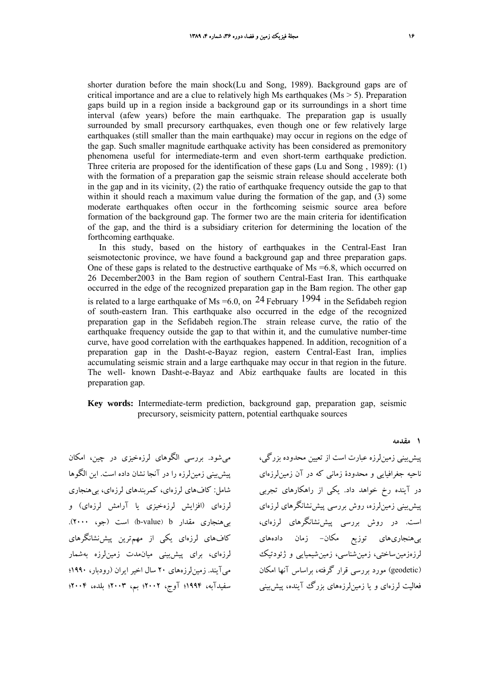shorter duration before the main shock(Lu and Song, 1989). Background gaps are of critical importance and are a clue to relatively high Ms earthquakes ( $Ms > 5$ ). Preparation gaps build up in a region inside a background gap or its surroundings in a short time interval (afew years) before the main earthquake. The preparation gap is usually surrounded by small precursory earthquakes, even though one or few relatively large earthquakes (still smaller than the main earthquake) may occur in regions on the edge of the gap. Such smaller magnitude earthquake activity has been considered as premonitory phenomena useful for intermediate-term and even short-term earthquake prediction. Three criteria are proposed for the identification of these gaps (Lu and Song , 1989): (1) with the formation of a preparation gap the seismic strain release should accelerate both in the gap and in its vicinity, (2) the ratio of earthquake frequency outside the gap to that within it should reach a maximum value during the formation of the gap, and (3) some moderate earthquakes often occur in the forthcoming seismic source area before formation of the background gap. The former two are the main criteria for identification of the gap, and the third is a subsidiary criterion for determining the location of the forthcoming earthquake.

In this study, based on the history of earthquakes in the Central-East Iran seismotectonic province, we have found a background gap and three preparation gaps. One of these gaps is related to the destructive earthquake of  $Ms = 6.8$ , which occurred on 26 December2003 in the Bam region of southern Central-East Iran. This earthquake occurred in the edge of the recognized preparation gap in the Bam region. The other gap is related to a large earthquake of Ms =6.0, on  $24$  February 1994 in the Sefidabeh region of south-eastern Iran. This earthquake also occurred in the edge of the recognized preparation gap in the Sefidabeh region.The strain release curve, the ratio of the earthquake frequency outside the gap to that within it, and the cumulative number-time curve, have good correlation with the earthquakes happened. In addition, recognition of a preparation gap in the Dasht-e-Bayaz region, eastern Central-East Iran, implies accumulating seismic strain and a large earthquake may occur in that region in the future. The well- known Dasht-e-Bayaz and Abiz earthquake faults are located in this preparation gap.

#### **Key words:** Intermediate-term prediction, background gap, preparation gap, seismic precursory, seismicity pattern, potential earthquake sources

ميشود. بررسي الگوهاي لرزهخيزي در چين، امكان پيشبيني زمينلرزه را در آنجا نشان داده است. اين الگوها شامل: كافهاي لرزهاي، كمربندهاي لرزهاي، بيهنجاري لرزهاي (افزايش لرزهخيزي يا آرامش لرزهاي) و بي هنجاري مقدار b-value) b است (جو، ٢٠٠٠). كافهاي لرزهاي يكي از مهمترين پيشنشانگرهاي لرزهاي، براي پيشبيني ميانمدت زمينلرزه بهشمار ميآيند. زمينلرزههاي 20 سال اخير ايران (رودبار، 1990؛ سفيدآبه، 1994؛ آوج، 2002؛ بم، 2003؛ بلده، 2004؛

پيشبيني زمينلرزه عبارت است از تعيين محدوده بزرگي، ناحيه جغرافيايي و محدودة زماني كه در آن زمينلرزهاي در آينده رخ خواهد داد. يكي از راهكارهاي تجربي پيشبيني زمينلرزه، روش بررسي پيشنشانگرهاي لرزهاي است. در روش بررسي پيشنشانگرهاي لرزهاي، بيهنجاريهاي توزيع مكان- زمان دادههاي لرزهزمينساختي، زمينشناسي، زمينشيميايي و ژئودتيك (geodetic (مورد بررسي قرار گرفته، براساس آنها امكان فعاليت لرزهاي و يا زمينلرزههاي بزرگ آينده، پيشبيني

**1 مقدمه**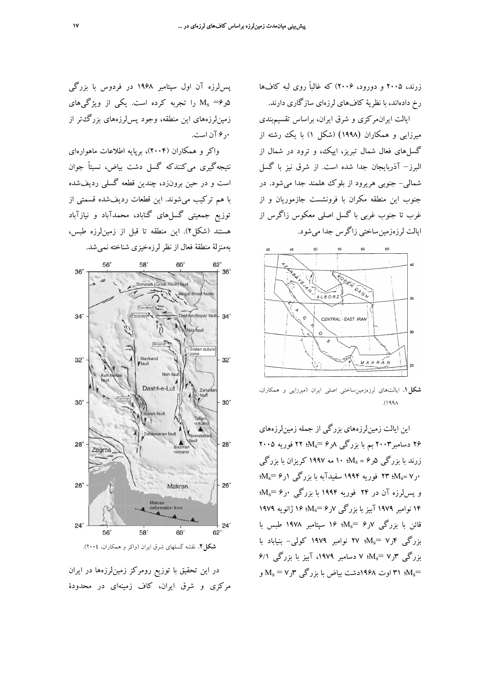زرند، 2005 و دورود، 2006) كه غالباً روي لبه كافها رخ دادهاند، با نظرية كافهاي لرزهاي سازگاري دارند.

ايالت ايرانمركزي و شرق ايران، براساس تقسيمبندي ميرزايي و همكاران (1998) (شكل 1) با يك رشته از گسلهاي فعال شمال تبريز، ايپك، و ترود در شمال از البرز– آذربايجان جدا شده است. از شرق نيز با گسل شمالي- جنوبي هريرود از بلوك هلمند جدا ميشود. در جنوب اين منطقه مكران با فرونشست جازموريان و از غرب تا جنوب غربي با گسل اصلي معكوس زاگرس از ايالت لرزهزمينساختي زاگرس جدا ميشود.



**شكل.1** ايالتهاي لرزهزمينساختي اصلي ايران (ميرزايي و همكاران، .(1998

اين ايالت زمينلرزههاي بزرگي از جمله زمينلرزههاي 26 دسامبر2003 بم با بزرگي 8ر6 =Ms؛ 22 فوريه 2005 زرند با بزرگي  $\mathcal{M}_\mathrm{s} = 5$ ؛ ۱۰ مه ۱۹۹۷ كريزان با بزرگي  $M_{\rm s}$ ۰ر۲۳ : $M_{\rm s}$ ؛ ۲۳ فوريه ۱۹۹۴ سفيدآبه با بزرگي ۱ر $\sim$  % و پس لرزه آن در ۲۴ فوريه ۱۹۹۴ با بزرگي ۰٫ <Ms 14 نوامبر 1979 آبيز با بزرگي 7ر6 =Ms؛ 16 ژانويه 1979 قائن با بزرگي 7ر6 =Ms؛ 16 سپتامبر 1978 طبس با بزرگي 4ر7 =Ms؛ 27 نوامبر 1979 كولي- بنياباد با بزرگي 3ر7 =Ms؛ 7 دسامبر ،1979 آبيز با بزرگي 6/1 وت ۱۹۶۸دشت بياض با بزرگي  $M_{\rm s}$  و $M_{\rm s}$  و M $_{\rm s}$ 

پسلرزه آن اول سپتامبر 1968 در فردوس با بزرگي 5ر6= Ms را تجربه كرده است. يكي از ويژگيهاي زمينلرزههاي اين منطقه، وجود پسلرزههاي بزرگتر از 0ر6 آن است.

واكر و همكاران (2004)، برپايه اطلاعات ماهوارهاي نتيجهگيري ميكنندكه گسل دشت بياض، نسبتاً جوان است و در حين برونزد، چندين قطعه گسلي رديفشده با هم تركيب ميشوند. اين قطعات رديفشده قسمتي از توزيع جمعيتي گسلهاي گناباد، محمدآباد و نيازآباد هستند (شكل2). اين منطقه تا قبل از زمينلرزه طبس، بهمنزلة منطقة فعال از نظرلرزهخيزي شناخته نميشد.



**شكل**.**2** نقشه گسلهاي شرق ايران (واكر و همكاران، 2004).

در اين تحقيق با توزيع رومركز زمينلرزهها در ايران مركزي و شرق ايران، كاف زمينهاي در محدودة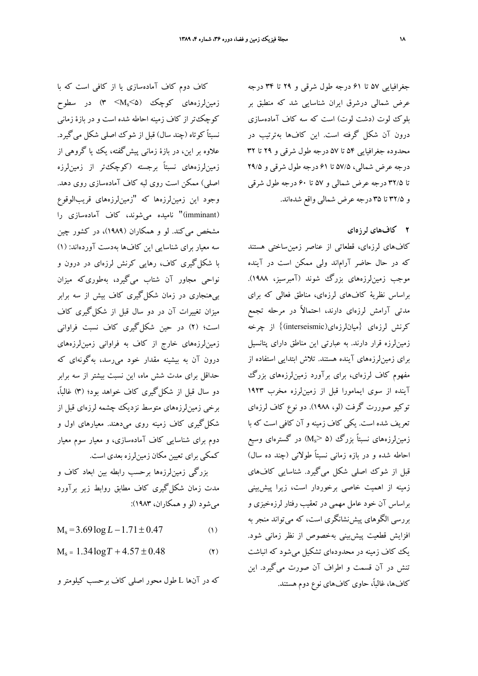جغرافيايي 57 تا 61 درجه طول شرقي و 29 تا 34 درجه عرض شمالي درشرق ايران شناسايي شد كه منطبق بر بلوك لوت (دشت لوت) است كه سه كاف آمادهسازي درون آن شكل گرفته است. اين كافها بهترتيب در محدوده جغرافيايي 54 تا 57 درجه طول شرقي و 29 تا 32 درجه عرض شمالي، 57/5 تا 61 درجه طول شرقي و 29/5 تا 32/5 درجه عرض شمالي و 57 تا 60 درجه طول شرقي و 32/5 تا 35 درجه عرض شمالي واقع شدهاند.

### **2 كافهاي لرزهاي**

كافهاي لرزهاي، قطعاتي از عناصر زمينساختي هستند كه در حال حاضر آراماند ولي ممكن است در آينده موجب زمينلرزههاي بزرگ شوند (آمبرسيز، 1988). براساس نظرية كافهاي لرزهاي، مناطق فعالي كه براي مدتي آرامش لرزهاي دارند، احتمالاً در مرحله تجمع كرنش لرزهاي {ميانلرزهاي(interseismic {(از چرخه زمينلرزه قرار دارند. به عبارتي اين مناطق داراي پتانسيل براي زمينلرزههاي آينده هستند. تلاش ابتدايي استفاده از مفهوم كاف لرزهاي، براي برآورد زمينلرزههاي بزرگ آينده از سوي ايمامورا قبل از زمينلرزه مخرب 1923 توكيو صوررت گرفت (لو، 1988). دو نوع كاف لرزهاي تعريف شده است. يكي كاف زمينه و آن كافي است كه با زمين ${\rm t}$ رگ (۵  ${\rm M_s}$ ) در گسترهاي وسيع ( ${\rm M_s}$ احاطه شده و در بازه زماني نسبتاً طولاني (چند ده سال) قبل از شوك اصلي شكل ميگيرد. شناسايي كافهاي زمينه از اهميت خاصي برخوردار است، زيرا پيشبيني براساس آن خود عامل مهمي در تعقيب رفتار لرزهخيزي و بررسي الگوهاي پيشنشانگري است، كه ميتواند منجر به افزايش قطعيت پيشبيني بهخصوص از نظر زماني شود. يك كاف زمينه در محدودهاي تشكيل ميشود كه انباشت تنش در آن قسمت و اطراف آن صورت ميگيرد. اين كافها، غالبا،ً حاوي كافهاي نوع دوم هستند.

# كاف دوم كاف آمادهسازي يا از كافي است كه با زمينلرزههاي كوچك (5>Ms <3 (در سطوح كوچكتر از كاف زمينه احاطه شده است و در بازة زماني نسبتاً كوتاه (چند سال) قبل از شوك اصلي شكل ميگيرد. علاوه بر اين، در بازة زماني پيشگفته، يك يا گروهي از زمينلرزههاي نسبتاً برجسته (كوچكتر از زمينلرزه اصلي) ممكن است روي لبه كاف آمادهسازي روي دهد. وجود اين زمينلرزهها كه "زمينلرزههاي قريبالوقوع (imminant "(ناميده ميشوند، كاف آمادهسازي را مشخص ميكند. لو و همكاران (1989)، در كشور چين سه معيار براي شناسايي اين كافها بهدست آوردهاند: (1) با شكلگيري كاف، رهايي كرنش لرزهاي در درون و نواحي مجاور آن شتاب ميگيرد، بهطوريكه ميزان بيهنجاري در زمان شكلگيري كاف بيش از سه برابر ميزان تغييرات آن در دو سال قبل از شكلگيري كاف است؛ (2) در حين شكلگيري كاف نسبت فراواني زمينلرزههاي خارج از كاف به فراواني زمينلرزههاي درون آن به بيشينه مقدار خود ميرسد، بهگونهاي كه حداقل براي مدت شش ماه، اين نسبت بيشتر از سه برابر دو سال قبل از شكلگيري كاف خواهد بود؛ (3) غالبا،ً برخي زمينلرزههاي متوسط نزديك چشمه لرزهاي قبل از شكلگيري كاف زمينه روي ميدهند. معيارهاي اول و دوم براي شناسايي كاف آمادهسازي، و معيار سوم معيار كمكي براي تعيين مكان زمينلرزه بعدي است.

بزرگي زمينلرزهها برحسب رابطه بين ابعاد كاف و مدت زمان شكلگيري كاف مطابق روابط زير برآورد ميشود (لو و همكاران، 1983):

 $M_s = 3.69 \log L - 1.71 \pm 0.47$  (1)

 $M_s = 1.34 \log T + 4.57 \pm 0.48$  (1)

كه در آنها L طول محور اصلي كاف برحسب كيلومتر و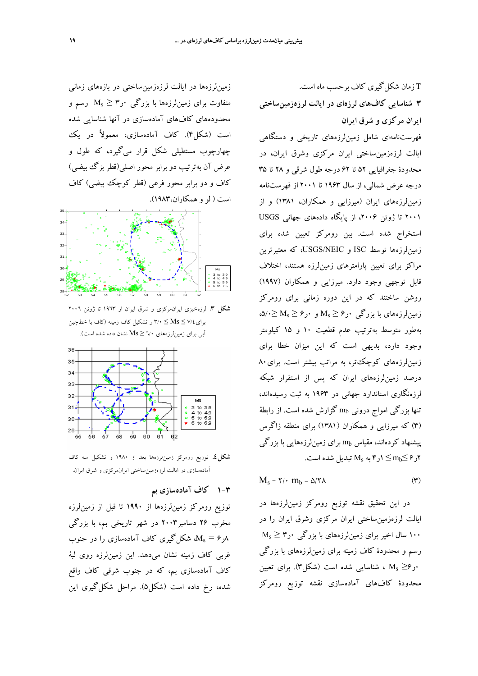زمينلرزهها در ايالت لرزهزمينساختي در بازههاي زماني متفاوت براي زمين $\mathsf{M}_\mathrm{s} \geq \mathsf{y}$  رسم و  $\mathsf{M}_\mathrm{s} \geq \mathsf{M}_\mathrm{s}$  رسم محدودههاي كافهاي آمادهسازي در آنها شناسايي شده است (شكل4). كاف آمادهسازي، معمولاً در يك چهارچوب مستطيلي شكل قرار ميگيرد، كه طول و عرض آن بهترتيب دو برابر محور اصلي(قطر بزگ بيضي) كاف و دو برابر محور فرعي (قطر كوچك بيضي) كاف است ( لو و همكاران1983،).



**شكل** .**3** لرزهخيزي ايرانمركزي و شرق ايران از 1963 تا ژوئن 2006 براي7/4 ≥ Ms ≤ 3/0 و تشكيل كاف زمينه (كاف با خطچين آبي براي زمينلرزههاي 6/0 ≤ Ms نشان داده شده است).



**شكل**.**4** توزيع رومركز زمينلرزهها بعد از 1980 و تشكيل سه كاف آمادهسازي در ايالت لرزهزمينساختي ايرانمركزي و شرق ايران.

# **1-3 كاف آمادهسازي بم**

توزيع رومركز زمينلرزهها از 1990 تا قبل از زمينلرزه مخرب 26 دسامبر2003 در شهر تاريخي بم، با بزرگي هر $M_{\rm s} = 8$ ، شكل $\Delta$ يري كاف آمادهسازي را در جنوب غربي كاف زمينه نشان ميدهد. اين زمينلرزه روي لبة كاف آمادهسازي بم، كه در جنوب شرقي كاف واقع شده، رخ داده است (شكل5). مراحل شكلگيري اين

T زمان شكلگيري كاف برحسب ماه است. **3 شناسايي كافهاي لرزهاي در ايالت لرزهزمينساختي ايران مركزي و شرق ايران** فهرستنامهاي شامل زمينلرزههاي تاريخي و دستگاهي ايالت لرزهزمينساختي ايران مركزي وشرق ايران، در محدودة جغرافيايي 52 تا 62 درجه طول شرقي و 28 تا 35 درجه عرض شمالي، از سال 1963 تا 2001 از فهرستنامه زمينلرزههاي ايران (ميرزايي و همكاران، 1381) و از 2001 تا ژوئن ،2006 از پايگاه دادههاي جهاني USGS استخراج شده است. بين رومركز تعيين شده براي زمينلرزهها توسط ISC و NEIC/USGS، كه معتبرترين مراكز براي تعيين پارامترهاي زمينلرزه هستند، اختلاف قابل توجهي وجود دارد. ميرزايي و همكاران (1997) روشن ساختند كه در اين دوره زماني براي رومركز زمينلرزههاي با بزرگي  $\mathsf{M}_{\mathrm{s}} \geq \mathsf{S}$ و  $\mathsf{M}_{\mathrm{s}} \geq \mathsf{S}$ ،  $\Delta \mathsf{S} \geq \mathsf{S}$ بهطور متوسط بهترتيب عدم قطعيت 10 و 15 كيلومتر وجود دارد، بديهي است كه اين ميزان خطا براي زمين لرزههاي كوچكتر، به مراتب بيشتر است. براي ٨٠ درصد زمينلرزههاي ايران كه پس از استقرار شبكه لرزهنگاري استاندارد جهاني در 1963 به ثبت رسيدهاند، تنها بزرگي امواج دروني mb گزارش شده است. از رابطة (3) كه ميرزايي و همكاران (1381) براي منطقه زاگرس پيشنهاد كردهاند، مقياس mb براي زمينلرزههايي با بزرگي  $\leq m_{\rm b} \leq m_{\rm b}$ تبديل شده است. Ms تبديل

$$
M_s = \Upsilon / \cdot m_b - \Delta / \Upsilon \wedge \tag{7}
$$

در اين تحقيق نقشه توزيع رومركز زمينلرزهها در ايالت لرزهزمينساختي ايران مركزي وشرق ايران را در  $M_{\rm s}$  سال اخير براي زمين ${\rm t}$ رزههاي با بزرگي  $\cdot$ ر رسم و محدودة كاف زمينه براي زمينلرزههاي با بزرگي 0ر6≤ Ms ، شناسايي شده است (شكل3). براي تعيين محدودة كافهاي آمادهسازي نقشه توزيع رومركز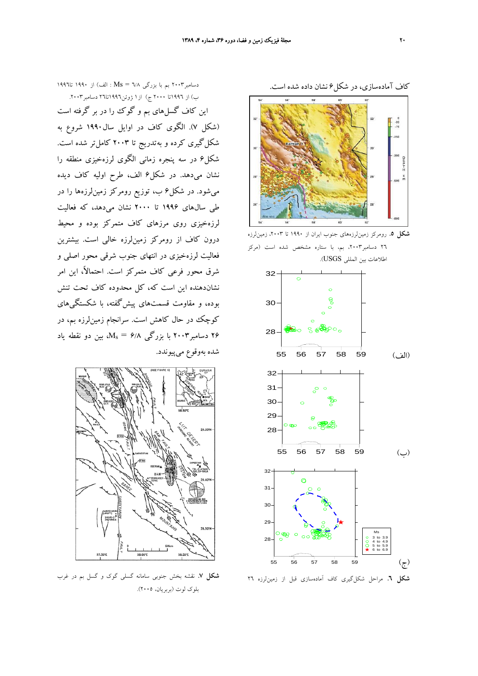

كاف آمادهسازي، در شكل6 نشان داده شده است.



**شكل** .**6** مراحل شكلگيري كاف آمادهسازي قبل از زمينلرزه 26

ب) از 1996تا 2000 ج) از1 ژوئن1996تا26 دسامبر.2003 اين كاف گسلهاي بم و گوك را در بر گرفته است (شكل 7). الگوي كاف در اوايل سال1990 شروع به شكلگيري كرده و بهتدريج تا 2003 كاملتر شده است. شكل6 در سه پنجره زماني الگوي لرزهخيزي منطقه را نشان ميدهد. در شكل6 الف، طرح اوليه كاف ديده ميشود. در شكل6 ب، توزيع رومركز زمينلرزهها را در طي سالهاي 1996 تا 2000 نشان ميدهد، كه فعاليت لرزهخيزي روي مرزهاي كاف متمركز بوده و محيط درون كاف از رومركز زمينلرزه خالي است. بيشترين فعاليت لرزهخيزي در انتهاي جنوب شرقي محور اصلي و شرق محور فرعي كاف متمركز است. احتمالا،ً اين امر نشاندهنده اين است كه، كل محدوده كاف تحت تنش بوده، و مقاومت قسمتهاي پيشگفته، با شكستگيهاي كوچك در حال كاهش است. سرانجام زمينلرزه بم، در

26 دسامبر2003 با بزرگي 6/8 = Ms، بين دو نقطه ياد

دسامبر2003 بم با بزرگي 6/8 = Ms : الف) از 1990 تا1996



**شكل** .**7** نقشه بخش جنوبي سامانه گسلي گوك و گسل بم در غرب بلوك لوت (بربريان، 2005).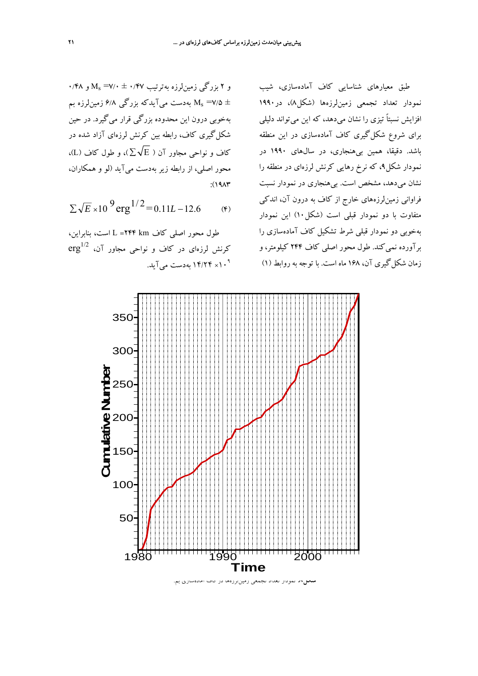و ۲ بزرگي زمين لرزه بهترتيب Ms =۷/۰ ± ۰/۴۷ و ۰/۴۸ بهدست مي $\mathbb{F}_2$ يدكه بزرگي ۶/۸ زمين $M_\mathrm{s} =$ ۷/۵  $\pm$ بهخوبي درون اين محدوده بزرگي قرار ميگيرد. در حين شكلگيري كاف، رابطه بين كرنش لرزهاي آزاد شده در كاف و نواحي مجاور آن (  $\overline{\Sigma} \sqrt{\mathrm{E}}$ )، و طول كاف (L)، محور اصلي، از رابطه زير بهدست ميآيد (لو و همكاران،  $:(19A)^{*}$ 

$$
\Sigma \sqrt{E} \times 10^{-9} \text{erg}^{1/2} = 0.11L - 12.6 \quad (\text{F})
$$

طول محور اصلي كاف km 244 =L است، بنابراين،  $\mathrm{erg}^{1/2}$  کرنش لرزهای در کاف و نواحی مجاور آن، × 14/24 بهدست ميآيد. 10<sup>9</sup>

طبق معيارهاي شناسايي كاف آمادهسازي، شيب نمودار تعداد تجمعي زمينلرزهها (شكل8)، در1990 افزايش نسبتاً تيزي را نشان ميدهد، كه اين ميتواند دليلي براي شروع شكلگيري كاف آمادهسازي در اين منطقه باشد. دقيقا، همين بيهنجاري، در سالهاي 1990 در نمودار شكل،9 كه نرخ رهايي كرنش لرزهاي در منطقه را نشان ميدهد، مشخص است. بيهنجاري در نمودار نسبت فراواني زمينلرزههاي خارج از كاف به درون آن، اندكي متفاوت با دو نمودار قبلي است (شكل10) اين نمودار بهخوبي دو نمودار قبلي شرط تشكيل كاف آمادهسازي را برآورده نميكند. طول محور اصلي كاف 244 كيلومتر، و زمان شكلگيري آن، 168 ماه است. با توجه به روابط (1)

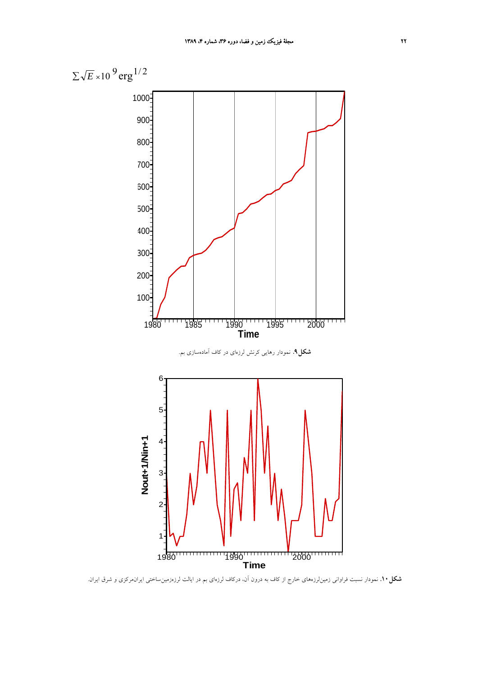

**شكل.10** نمودار نسبت فراواني زمينلرزههاي خارج از كاف به درون آن، دركاف لرزهاي بم در ايالت لرزهزمينساختي ايرانمركزي و شرق ايران.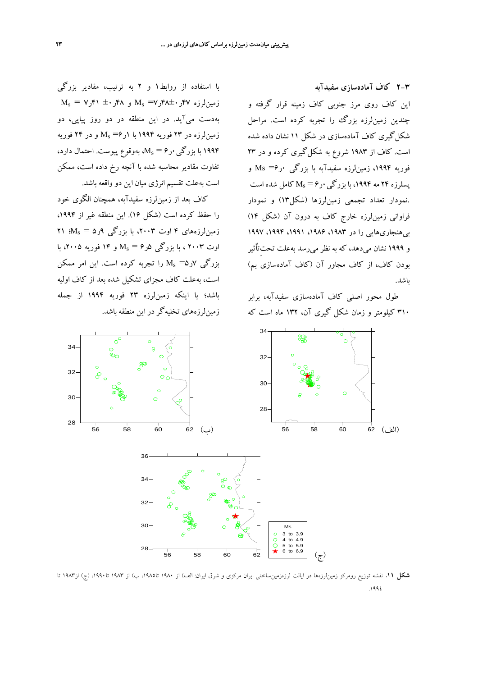**2-3 كاف آمادهسازي سفيدآبه** اين كاف روي مرز جنوبي كاف زمينه قرار گرفته و چندين زمينلرزه بزرگ را تجربه كرده است. مراحل شكلگيري كاف آمادهسازي در شكل 11 نشان داده شده است. كاف از 1983 شروع به شكلگيري كرده و در 23 فوريه ،1994 زمينلرزه سفيدآبه با بزرگي 0ر6= Ms و یسلرزه ۲۴ مه ۱۹۹۴، با بزرگی  $\mathcal{N}_\mathrm{S}$  کامل شده است .نمودار تعداد تجمعي زمينلرزها (شكل13) و نمودار فراواني زمينلرزه خارج كاف به درون آن (شكل 14) بي هنجاري هايي را در ١٩٨٣، ١٩٩٤، ١٩٩١، ١٩٩٧، ١٩٩٧ و 1999 نشان ميدهد، كه به نظر ميرسد بهعلت تحتِتاٌثير بودن كاف، از كاف مجاور آن (كاف آمادهسازي بم) باشد.

طول محور اصلي كاف آمادهسازي سفيدآبه، برابر 310 كيلومتر و زمان شكل گيري آن، 132 ماه است كه



كاف بعد از زمينلرزه سفيدآبه، همچنان الگوي خود را حفظ كرده است (شكل ۱۶). اين منطقه غير از ۱۹۹۴، زمين لرزههاي ۴ اوت ۲۰۰۳، با بزرگي ۹ر۵ = Ms؛ ۲۱ اوت 2003 ، با بزرگي 5ر6 = Ms و 14 فوريه ،2005 با بزرگي 7ر5= Ms را تجربه كرده است. اين امر ممكن است، بهعلت كاف مجزاي تشكيل شده بعد از كاف اوليه باشد؛ يا اينكه زمينلرزه 23 فوريه 1994 از جمله زمينلرزههاي تخليهگردر اين منطقه باشد.



**شكل** .**11** نقشه توزيع رومركز زمينلرزهها در ايالت لرزهزمينساختي ايران مركزي و شرق ايران: الف) از 1980 تا،1985 ب) از 1983 تا،1990 (ج) از1983 تا .1994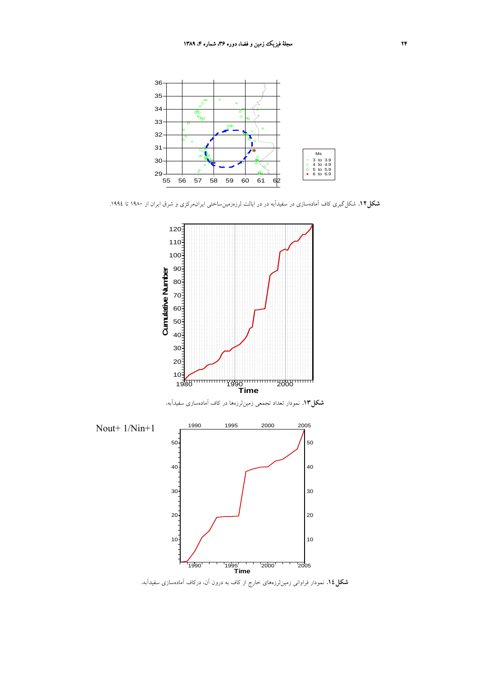

**شكل**.**12** شكلگيري كاف آمادهسازي در سفيدآبه در در ايالت لرزهزمينساختي ايرانمركزي و شرق ايران از 1980 تا .1994



**شكل**.**14** نمودار فراواني زمينلرزههاي خارج از كاف به درون آن، دركاف آمادهسازي سفيدآبه.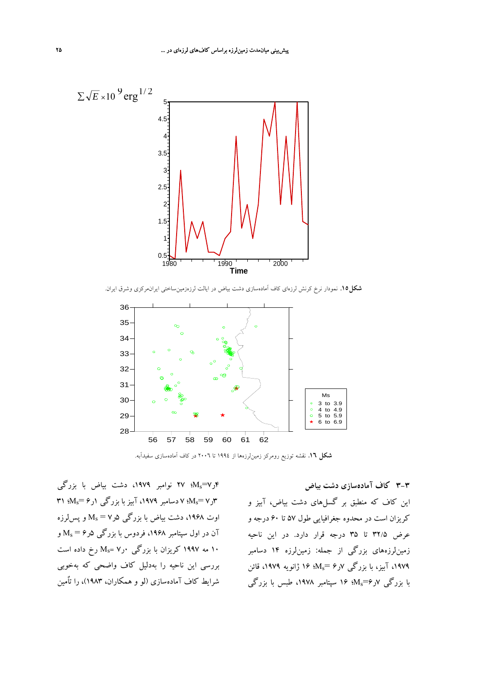

**شكل.15** نمودار نرخ كرنش لرزهاي كاف آمادهسازي دشت بياض در ايالت لرزهزمينساختي ايرانمركزي وشرق ايران.



**شكل** .**16** نقشه توزيع رومركز زمينلرزهها از 1994 تا 2006 در كاف آمادهسازي سفيدآبه.

4ر7=Ms؛ 27 نوامبر ،1979 دشت بياض با بزرگي ۳۱ (M<sub>s</sub> $=$ ۶۰) کا دسامبر ۱۹۷۹، آبیز با بزرگی ۱ر $M_{\rm s}$ ؛ ۳۱ $M_{\rm s}$ اوت ۱۹۶۸، دشت بیاض با بزرگی  $\rm M_s$  و پسلرزه آن در اول سپتامبر ۱۹۶۸، فردوس با بزرگی  $\Delta_s = M_s = 1$ و 10 مه ۱۹۹۷ كريزان با بزرگي  $\rm M_{\rm s}$  رخ داده است بررسي اين ناحيه را بهدليل كاف واضحي كه بهخوبي شرايط كاف آمادهسازي (لو و همكاران، 1983)، را تاٌمين

اين كاف كه منطبق بر گسلهاي دشت بياض، آبيز و كريزان است در محدوه جغرافيايي طول 57 تا 60 درجه و عرض 32/5 تا 35 درجه قرار دارد. در اين ناحيه زمينلرزههاي بزرگي از جمله: زمينلرزه 14 دسامبر ،1979 آبيز، با بزرگي 7ر6 =Ms؛ 16 ژانويه ،1979 قائن با بزرگي  $\mathcal{N}_\text{s}$ =۶ %؛ ۱۶ سپتامبر ۱۹۷۸، طبس با بزرگي

**3-3 كاف آمادهسازي دشت بياض**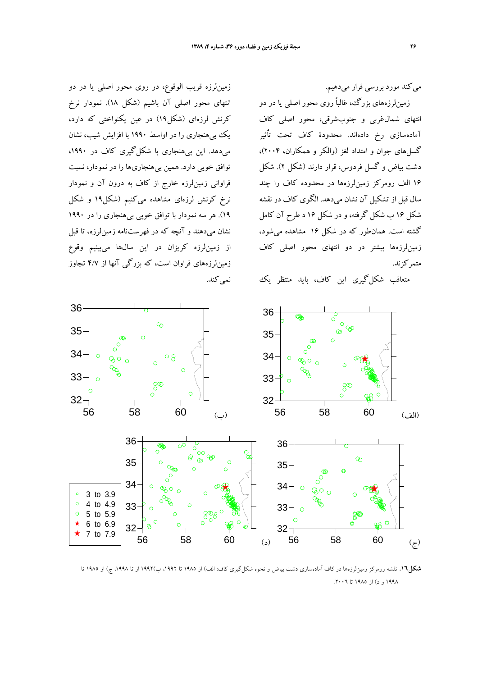ميكند مورد بررسي قرار ميدهيم.

زمينلرزههاي بزرگ، غالباً روي محور اصلي يا در دو انتهاي شمالغربي و جنوبشرقي، محور اصلي كاف آمادهسازي رخ دادهاند. محدودة كاف تحت تاٌثير گسلهاي جوان و امتداد لغز (والكر و همكاران، 2004)، دشت بياض و گسل فردوس، قرار دارند (شكل 2). شكل 16 الف رومركز زمينلرزهها در محدوده كاف را چند سال قبل از تشكيل آن نشان ميدهد. الگوي كاف در نقشه شكل 16 ب شكل گرفته، و در شكل 16 د طرح آن كامل گشته است. همانطور كه در شكل 16 مشاهده ميشود، زمينلرزهها بيشتر در دو انتهاي محور اصلي كاف متمركزند.

متعاقب شكلگيري اين كاف، بايد منتظر يك

زمينلرزه قريب الوقوع، در روي محور اصلي يا در دو انتهاي محور اصلي آن باشيم (شكل 18). نمودار نرخ كرنش لرزهاي (شكل19) در عين يكنواختي كه دارد، يك بيهنجاري را در اواسط 1990 با افزايش شيب، نشان ميدهد. اين بيهنجاري با شكلگيري كاف در ،1990 توافق خوبي دارد. همين بيهنجاريها را در نمودار، نسبت فراواني زمينلرزه خارج از كاف به درون آن و نمودار نرخ كرنش لرزهاي مشاهده ميكنيم (شكل19 و شكل 19). هر سه نمودار با توافق خوبي بيهنجاري را در 1990 نشان ميدهند و آنچه كه در فهرستنامه زمينلرزه، تا قبل از زمينلرزه كريزان در اين سالها ميبينيم وقوع زمينلرزههاي فراوان است، كه بزرگي آنها از 4/7 تجاوز نمي كند.



**شكل**.**16** نقشه رومركز زمينلرزهها در كاف آمادهسازي دشت بياض و نحوه شكلگيري كاف: الف) از 1985 تا ،1992 ب)1992 از تا ،1998 ج) از 1985 تا 1998 و د) از 1985 تا .2006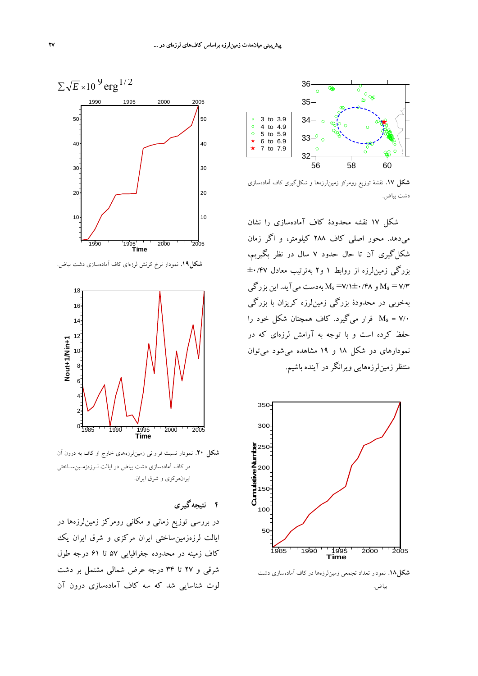

**شكل** .**17** نقشة توزيع رومركز زمينلرزهها و شكلگيري كاف آمادهسازي دشت بياض.

شكل 17 نقشه محدودة كاف آمادهسازي را نشان ميدهد. محور اصلي كاف 288 كيلومتر، و اگر زمان شكلگيري آن تا حال حدود 7 سال در نظر بگيريم، بزرگي زمينلرزه از روابط 1 و2 بهترتيب معادل ±0/47 و ۲/۴ $\rm M_s$ = V/۲ $\pm$ ۰/۴۸ بهدست مي $\rm M_s$ يد. اين بزرگي  $\rm M_s$ بهخوبي در محدودة بزرگي زمينلرزه كريزان با بزرگي قرار ميگيرد. كاف همچنان شكل خود را Ms = V/ $\cdot$ حفظ كرده است و با توجه به آرامش لرزهاي كه در نمودارهاي دو شكل 18 و 19 مشاهده ميشود ميتوان منتظرزمينلرزههايي ويرانگردر آينده باشيم.



**شكل**.**18** نمودار تعداد تجمعي زمينلرزهها در كاف آمادهسازي دشت

بياض.



**شكل.19** نمودار نرخ كرنش لرزهاي كاف آمادهسازي دشت بياض.



**شكل** .**20** نمودار نسبت فراواني زمينلرزههاي خارج از كاف به درون آن در كاف آمادهسازي دشت بياض در ايالت لـرزهزمـينسـاختي ايرانمركزي و شرق ايران.

# **4 نتيجهگيري**

در بررسي توزيع زماني و مكاني رومركز زمينلرزهها در ايالت لرزهزمينساختي ايران مركزي و شرق ايران يك كاف زمينه در محدوده جغرافيايي 57 تا 61 درجه طول شرقي و 27 تا 34 درجه عرض شمالي مشتمل بر دشت لوت شناسايي شد كه سه كاف آمادهسازي درون آن